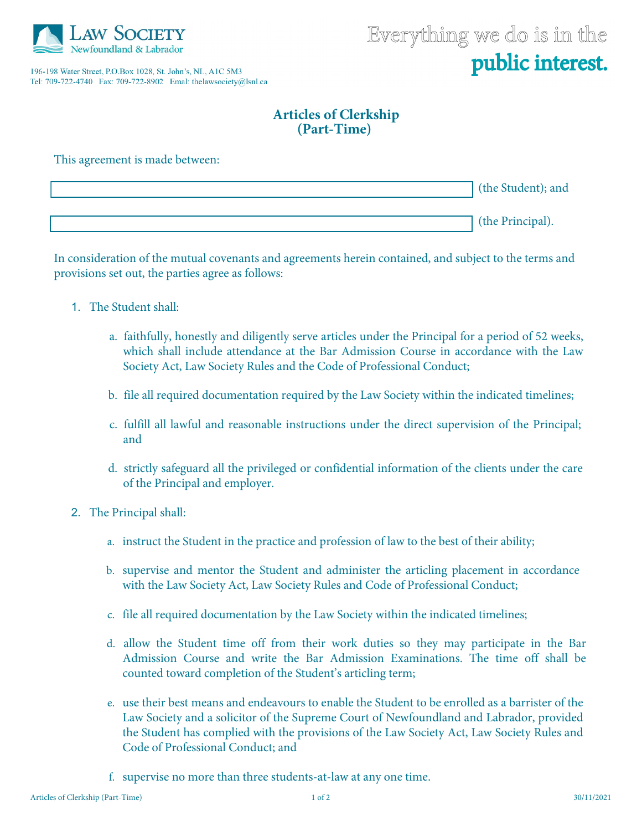

196-198 Water Street, P.O.Box 1028, St. John's, NL, A1C 5M3 Tel: 709-722-4740 Fax: 709-722-8902 Emal: thelawsociety@lsnl.ca

## **Articles of Clerkship (Part-Time)**

This agreement is made between:

| the Student); and |
|-------------------|
|                   |
| the Principal).   |

In consideration of the mutual covenants and agreements herein contained, and subject to the terms and provisions set out, the parties agree as follows:

- 1. The Student shall:
	- a. faithfully, honestly and diligently serve articles under the Principal for a period of 52 weeks, which shall include attendance at the Bar Admission Course in accordance with the Law Society Act, Law Society Rules and the Code of Professional Conduct;
	- b. file all required documentation required by the Law Society within the indicated timelines;
	- c. fulfill all lawful and reasonable instructions under the direct supervision of the Principal; and
	- d. strictly safeguard all the privileged or confidential information of the clients under the care of the Principal and employer.
- 2. The Principal shall:
	- a. instruct the Student in the practice and profession of law to the best of their ability;
	- b. supervise and mentor the Student and administer the articling placement in accordance with the Law Society Act, Law Society Rules and Code of Professional Conduct;
	- c. file all required documentation by the Law Society within the indicated timelines;
	- d. allow the Student time off from their work duties so they may participate in the Bar Admission Course and write the Bar Admission Examinations. The time off shall be counted toward completion of the Student's articling term;
	- e. use their best means and endeavours to enable the Student to be enrolled as a barrister of the Law Society and a solicitor of the Supreme Court of Newfoundland and Labrador, provided the Student has complied with the provisions of the Law Society Act, Law Society Rules and Code of Professional Conduct; and
	- f. supervise no more than three students-at-law at any one time.